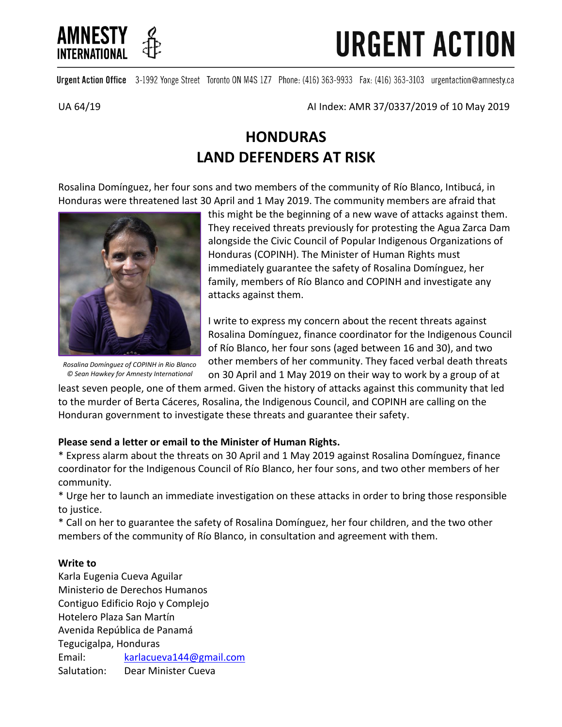

**URGENT ACTION** 

Urgent Action Office 3-1992 Yonge Street Toronto ON M4S 1Z7 Phone: (416) 363-9933 Fax: (416) 363-3103 urgentaction@amnesty.ca

UA 64/19 AI Index: AMR 37/0337/2019 of 10 May 2019

# **HONDURAS LAND DEFENDERS AT RISK**

Rosalina Domínguez, her four sons and two members of the community of Río Blanco, Intibucá, in Honduras were threatened last 30 April and 1 May 2019. The community members are afraid that



*Rosalina Domínguez of COPINH in Rio Blanco © Sean Hawkey for Amnesty International*

this might be the beginning of a new wave of attacks against them. They received threats previously for protesting the Agua Zarca Dam alongside the Civic Council of Popular Indigenous Organizations of Honduras (COPINH). The Minister of Human Rights must immediately guarantee the safety of Rosalina Domínguez, her family, members of Río Blanco and COPINH and investigate any attacks against them.

I write to express my concern about the recent threats against Rosalina Domínguez, finance coordinator for the Indigenous Council of Río Blanco, her four sons (aged between 16 and 30), and two other members of her community. They faced verbal death threats on 30 April and 1 May 2019 on their way to work by a group of at

least seven people, one of them armed. Given the history of attacks against this community that led to the murder of Berta Cáceres, Rosalina, the Indigenous Council, and COPINH are calling on the Honduran government to investigate these threats and guarantee their safety.

## **Please send a letter or email to the Minister of Human Rights.**

\* Express alarm about the threats on 30 April and 1 May 2019 against Rosalina Domínguez, finance coordinator for the Indigenous Council of Río Blanco, her four sons, and two other members of her community.

\* Urge her to launch an immediate investigation on these attacks in order to bring those responsible to justice.

\* Call on her to guarantee the safety of Rosalina Domínguez, her four children, and the two other members of the community of Río Blanco, in consultation and agreement with them.

## **Write to**

Karla Eugenia Cueva Aguilar Ministerio de Derechos Humanos Contiguo Edificio Rojo y Complejo Hotelero Plaza San Martín Avenida República de Panamá Tegucigalpa, Honduras Email: [karlacueva144@gmail.com](mailto:karlacueva144@gmail.com) Salutation: Dear Minister Cueva